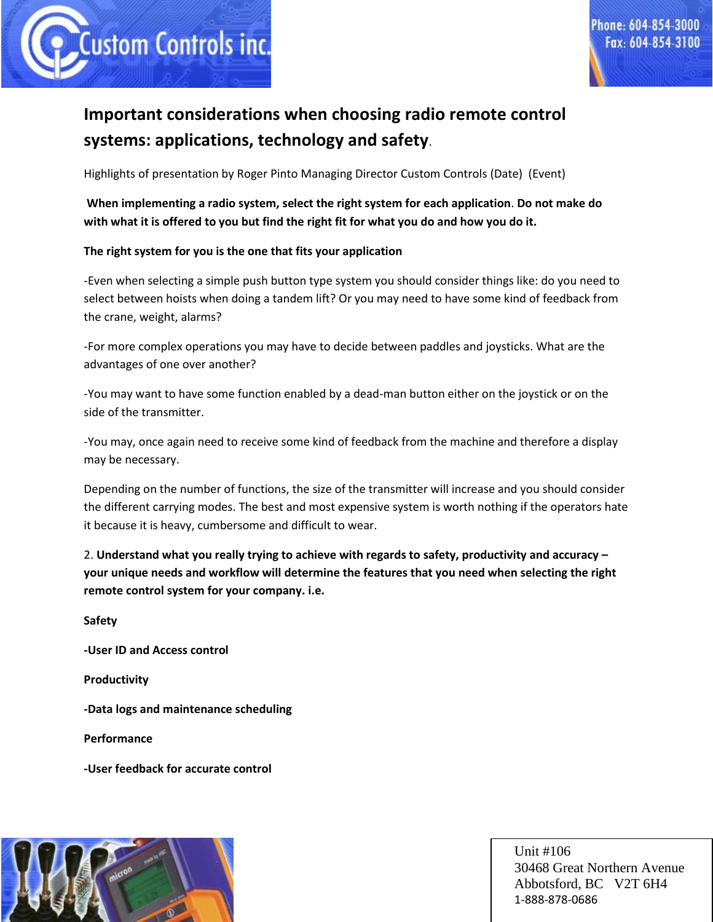

# **Important considerations when choosing radio remote control systems: applications, technology and safety**.

Highlights of presentation by Roger Pinto Managing Director Custom Controls (Date) (Event)

**When implementing a radio system, select the right system for each application**. **Do not make do with what it is offered to you but find the right fit for what you do and how you do it.**

#### **The right system for you is the one that fits your application**

-Even when selecting a simple push button type system you should consider things like: do you need to select between hoists when doing a tandem lift? Or you may need to have some kind of feedback from the crane, weight, alarms?

-For more complex operations you may have to decide between paddles and joysticks. What are the advantages of one over another?

-You may want to have some function enabled by a dead-man button either on the joystick or on the side of the transmitter.

-You may, once again need to receive some kind of feedback from the machine and therefore a display may be necessary.

Depending on the number of functions, the size of the transmitter will increase and you should consider the different carrying modes. The best and most expensive system is worth nothing if the operators hate it because it is heavy, cumbersome and difficult to wear.

2. **Understand what you really trying to achieve with regards to safety, productivity and accuracy – your unique needs and workflow will determine the features that you need when selecting the right remote control system for your company. i.e.**

**Safety** 

**-User ID and Access control**

**Productivity**

**-Data logs and maintenance scheduling**

**Performance**

**-User feedback for accurate control**

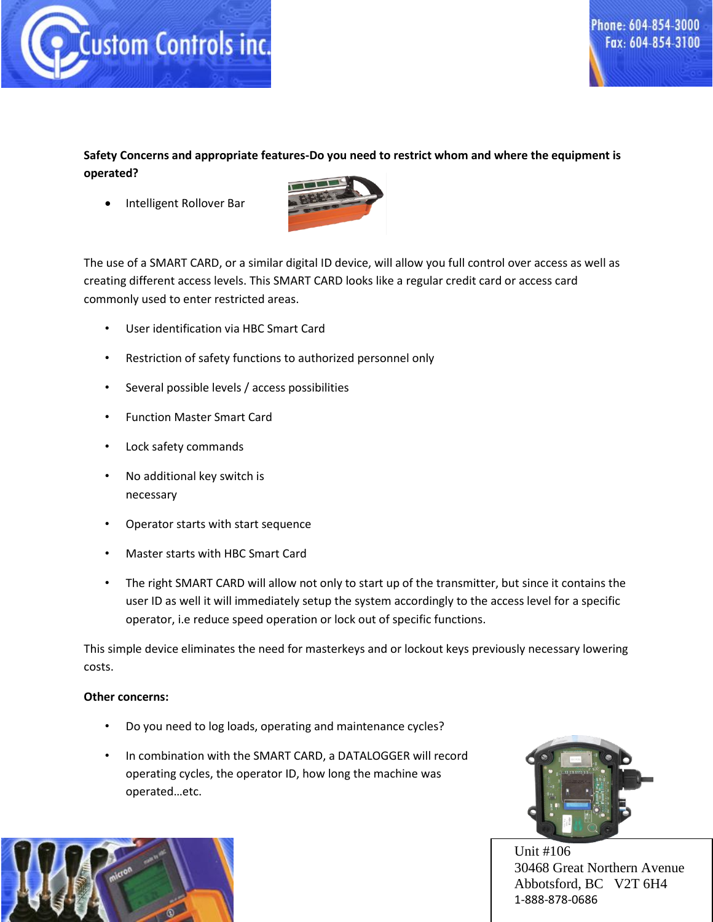

**Safety Concerns and appropriate features-Do you need to restrict whom and where the equipment is operated?**

Intelligent Rollover Bar



The use of a SMART CARD, or a similar digital ID device, will allow you full control over access as well as creating different access levels. This SMART CARD looks like a regular credit card or access card commonly used to enter restricted areas.

- User identification via HBC Smart Card
- Restriction of safety functions to authorized personnel only
- Several possible levels / access possibilities
- Function Master Smart Card
- Lock safety commands
- No additional key switch is necessary
- Operator starts with start sequence
- Master starts with HBC Smart Card
- The right SMART CARD will allow not only to start up of the transmitter, but since it contains the user ID as well it will immediately setup the system accordingly to the access level for a specific operator, i.e reduce speed operation or lock out of specific functions.

This simple device eliminates the need for masterkeys and or lockout keys previously necessary lowering costs.

#### **Other concerns:**

- Do you need to log loads, operating and maintenance cycles?
- In combination with the SMART CARD, a DATALOGGER will record operating cycles, the operator ID, how long the machine was operated…etc.



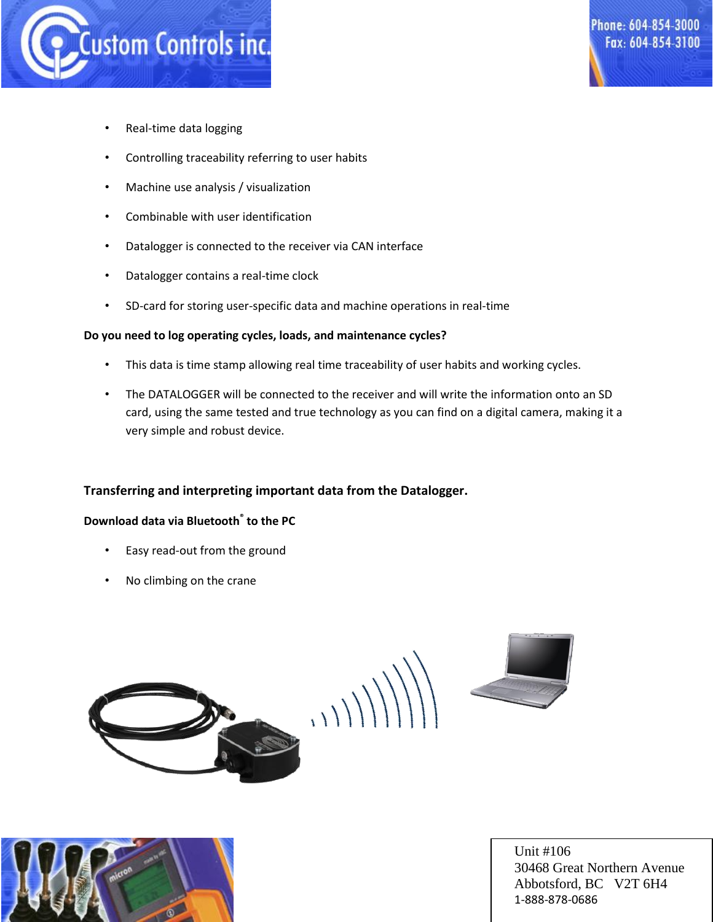

- Real-time data logging
- Controlling traceability referring to user habits
- Machine use analysis / visualization
- Combinable with user identification
- Datalogger is connected to the receiver via CAN interface
- Datalogger contains a real-time clock
- SD-card for storing user-specific data and machine operations in real-time

#### **Do you need to log operating cycles, loads, and maintenance cycles?**

- This data is time stamp allowing real time traceability of user habits and working cycles.
- The DATALOGGER will be connected to the receiver and will write the information onto an SD card, using the same tested and true technology as you can find on a digital camera, making it a very simple and robust device.

## **Transferring and interpreting important data from the Datalogger.**

## **Download data via Bluetooth® to the PC**

- Easy read-out from the ground
- No climbing on the crane



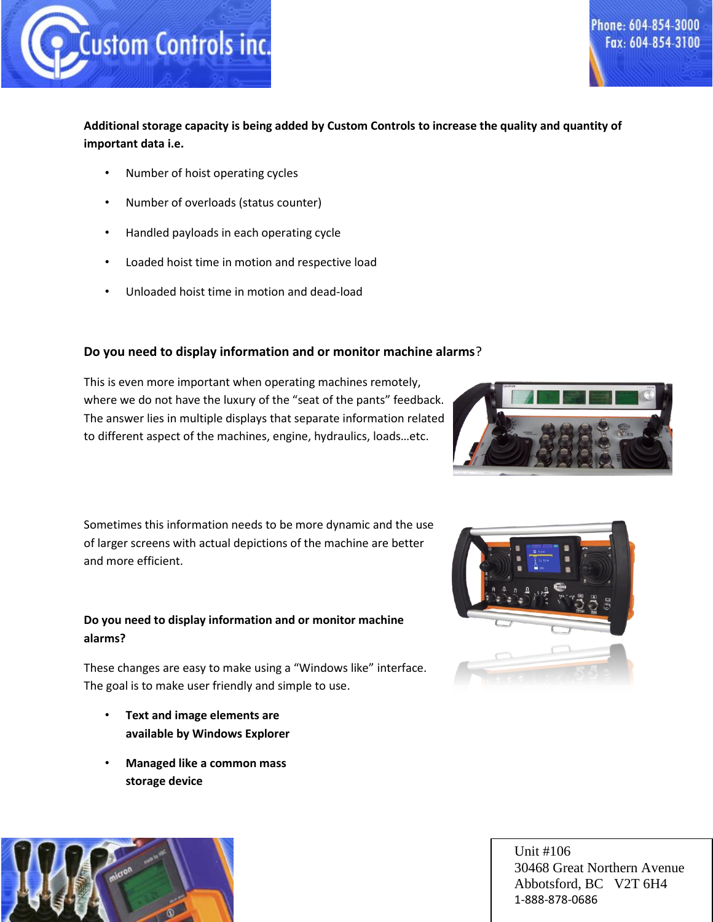

## **Additional storage capacity is being added by Custom Controls to increase the quality and quantity of important data i.e.**

- Number of hoist operating cycles
- Number of overloads (status counter)
- Handled payloads in each operating cycle
- Loaded hoist time in motion and respective load
- Unloaded hoist time in motion and dead-load

## **Do you need to display information and or monitor machine alarms**?

This is even more important when operating machines remotely, where we do not have the luxury of the "seat of the pants" feedback. The answer lies in multiple displays that separate information related to different aspect of the machines, engine, hydraulics, loads…etc.

Sometimes this information needs to be more dynamic and the use of larger screens with actual depictions of the machine are better and more efficient.

## **Do you need to display information and or monitor machine alarms?**

These changes are easy to make using a "Windows like" interface. The goal is to make user friendly and simple to use.

- **Text and image elements are available by Windows Explorer**
- **Managed like a common mass storage device**





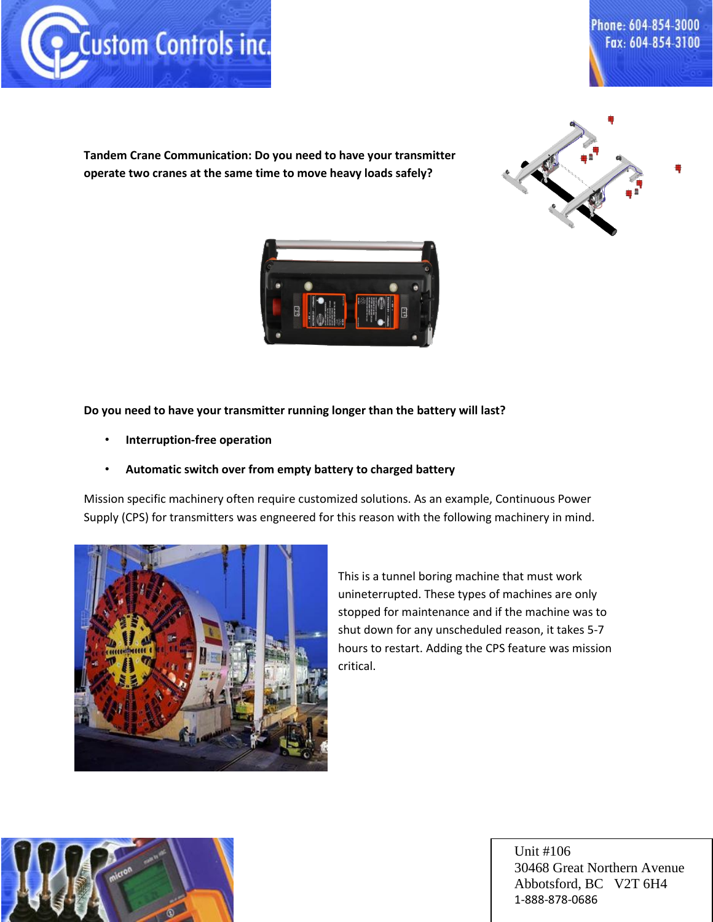

**Tandem Crane Communication: Do you need to have your transmitter operate two cranes at the same time to move heavy loads safely?**





#### **Do you need to have your transmitter running longer than the battery will last?**

• **Interruption-free operation**

## • **Automatic switch over from empty battery to charged battery**

Mission specific machinery often require customized solutions. As an example, Continuous Power Supply (CPS) for transmitters was engneered for this reason with the following machinery in mind.



This is a tunnel boring machine that must work unineterrupted. These types of machines are only stopped for maintenance and if the machine was to shut down for any unscheduled reason, it takes 5-7 hours to restart. Adding the CPS feature was mission critical.

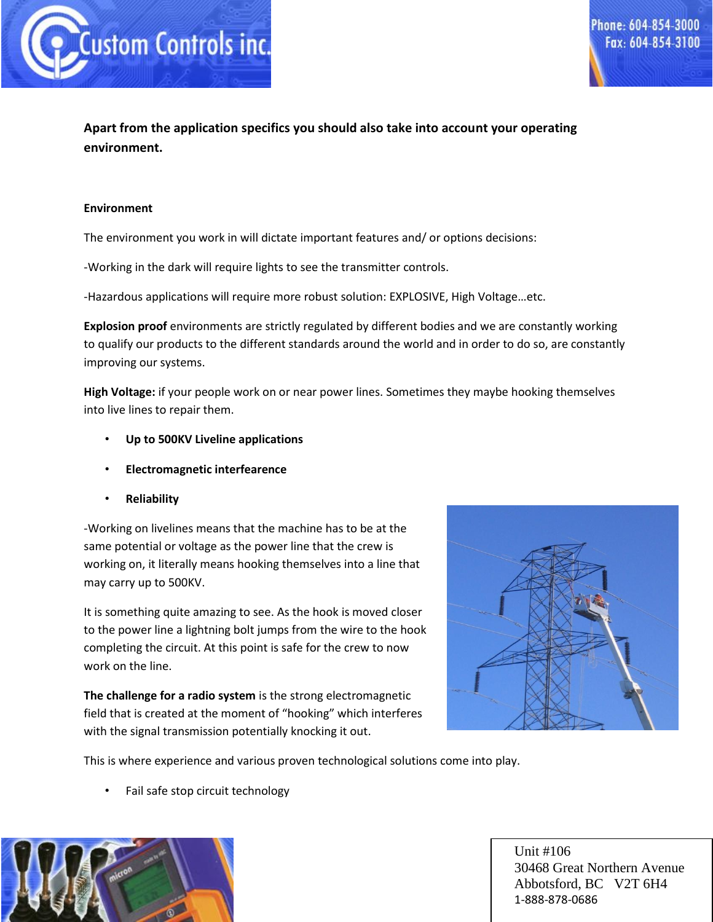

## **Apart from the application specifics you should also take into account your operating environment.**

#### **Environment**

The environment you work in will dictate important features and/ or options decisions:

-Working in the dark will require lights to see the transmitter controls.

-Hazardous applications will require more robust solution: EXPLOSIVE, High Voltage…etc.

**Explosion proof** environments are strictly regulated by different bodies and we are constantly working to qualify our products to the different standards around the world and in order to do so, are constantly improving our systems.

**High Voltage:** if your people work on or near power lines. Sometimes they maybe hooking themselves into live lines to repair them.

- **Up to 500KV Liveline applications**
- **Electromagnetic interfearence**
- **Reliability**

-Working on livelines means that the machine has to be at the same potential or voltage as the power line that the crew is working on, it literally means hooking themselves into a line that may carry up to 500KV.

It is something quite amazing to see. As the hook is moved closer to the power line a lightning bolt jumps from the wire to the hook completing the circuit. At this point is safe for the crew to now work on the line.

**The challenge for a radio system** is the strong electromagnetic field that is created at the moment of "hooking" which interferes with the signal transmission potentially knocking it out.



This is where experience and various proven technological solutions come into play.

• Fail safe stop circuit technology